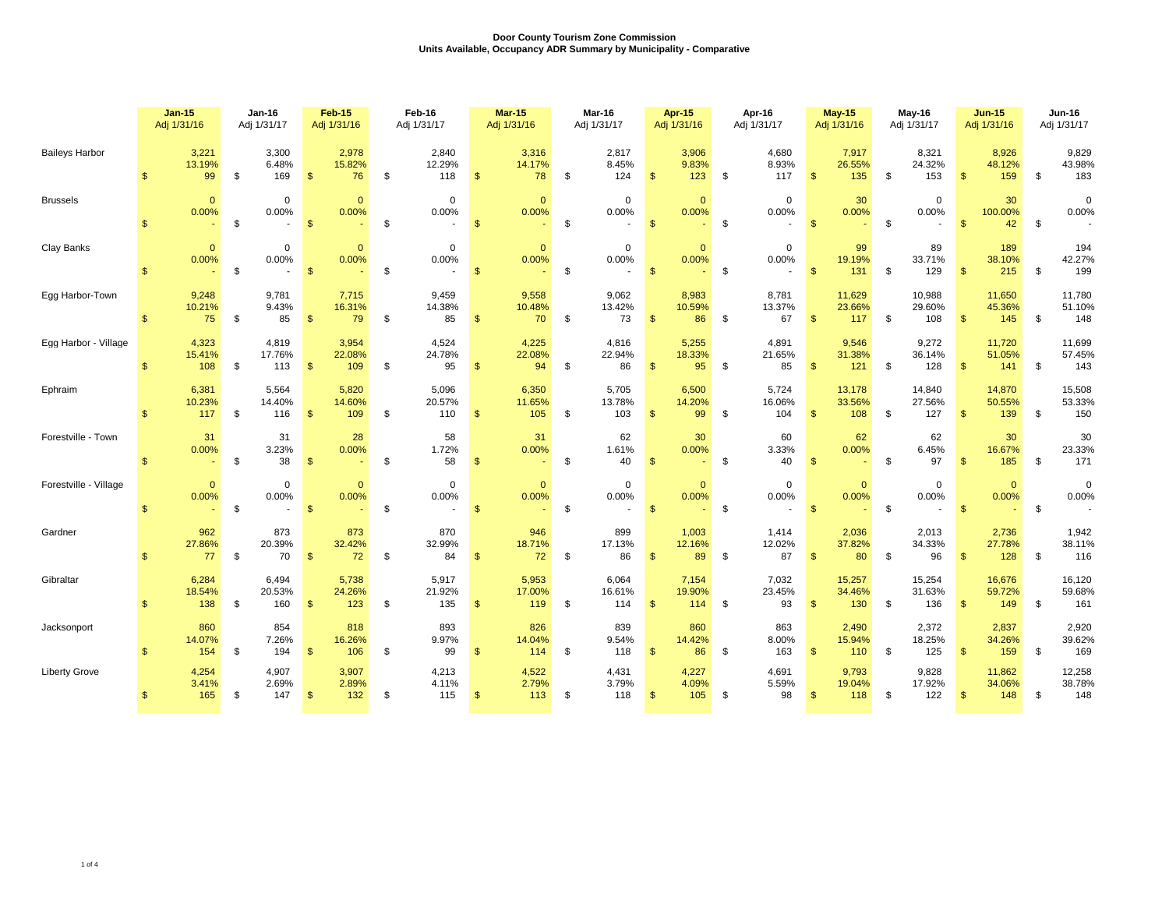|                       | <b>Jan-15</b><br>Adj 1/31/16 |                        | $Jan-16$<br>Adj 1/31/17 |                                | <b>Feb-15</b><br>Adj 1/31/16 |                         | Feb-16<br>Adj 1/31/17 |                                | <b>Mar-15</b><br>Adj 1/31/16 |                                 | Mar-16<br>Adj 1/31/17 |                                   | Apr-15<br>Adj 1/31/16 |                             | Apr-16<br>Adj 1/31/17 |                                                  | <b>May-15</b><br>Adj 1/31/16 |                         | <b>May-16</b><br>Adj 1/31/17 |                         | <b>Jun-15</b><br>Adj 1/31/16 |                         | <b>Jun-16</b><br>Adj 1/31/17 |                         |
|-----------------------|------------------------------|------------------------|-------------------------|--------------------------------|------------------------------|-------------------------|-----------------------|--------------------------------|------------------------------|---------------------------------|-----------------------|-----------------------------------|-----------------------|-----------------------------|-----------------------|--------------------------------------------------|------------------------------|-------------------------|------------------------------|-------------------------|------------------------------|-------------------------|------------------------------|-------------------------|
| <b>Baileys Harbor</b> | $\mathbb{S}$                 | 3,221<br>13.19%<br>99  | \$                      | 3,300<br>6.48%<br>169          | $\mathfrak{s}$               | 2,978<br>15.82%<br>76   | \$                    | 2,840<br>12.29%<br>118         | $\mathfrak{s}$               | 3,316<br>14.17%<br>78           | \$                    | 2,817<br>8.45%<br>124             | \$                    | 3,906<br>9.83%<br>123       | - \$                  | 4,680<br>8.93%<br>117                            | $\mathfrak{S}$               | 7,917<br>26.55%<br>135  | \$                           | 8,321<br>24.32%<br>153  | $\mathfrak{s}$               | 8,926<br>48.12%<br>159  | \$                           | 9,829<br>43.98%<br>183  |
| <b>Brussels</b>       | $\mathbb{S}$                 | $\mathbf{0}$<br>0.00%  | \$                      | $\mathbf 0$<br>0.00%<br>$\sim$ | $\mathbf{\$}$                | $\overline{0}$<br>0.00% | \$                    | $\mathbf 0$<br>0.00%<br>$\sim$ | $\mathbf{\$}$                | $\overline{0}$<br>0.00%         | \$                    | $\overline{0}$<br>0.00%<br>$\sim$ | \$                    | $\mathbf{0}$<br>0.00%       | <b>S</b>              | $\mathbf 0$<br>0.00%<br>$\overline{\phantom{a}}$ | $\mathbf{\hat{s}}$           | 30<br>0.00%<br>$\sim$   | \$                           | $\mathbf 0$<br>0.00%    | $\mathbb{S}$                 | 30<br>100.00%<br>42     | \$                           | $\mathbf 0$<br>0.00%    |
| Clay Banks            | $\mathbb{S}$                 | $\mathbf{0}$<br>0.00%  | \$                      | $\mathbf 0$<br>0.00%<br>$\sim$ | $\mathbf{\hat{s}}$           | $\Omega$<br>0.00%       | \$                    | $\mathbf 0$<br>0.00%<br>$\sim$ | $\mathbf{\hat{s}}$           | $\mathbf{0}$<br>0.00%<br>$\sim$ | \$                    | $\mathbf 0$<br>0.00%<br>$\sim$    | $\mathbf{s}$          | $\mathbf{0}$<br>0.00%       | \$                    | $\mathbf 0$<br>0.00%                             | $\sqrt{3}$                   | 99<br>19.19%<br>131     | - \$                         | 89<br>33.71%<br>129     | $\mathbf{s}$                 | 189<br>38.10%<br>215    | \$                           | 194<br>42.27%<br>199    |
| Egg Harbor-Town       | $\mathbb{S}$                 | 9,248<br>10.21%<br>75  | \$                      | 9,781<br>9.43%<br>85           | $\mathbf{\hat{s}}$           | 7,715<br>16.31%<br>79   | \$                    | 9,459<br>14.38%<br>85          | \$                           | 9,558<br>10.48%<br>70           | \$                    | 9,062<br>13.42%<br>73             | $\mathbf{\hat{s}}$    | 8,983<br>10.59%<br>86       | \$                    | 8,781<br>13.37%<br>67                            | \$                           | 11,629<br>23.66%<br>117 | \$                           | 10,988<br>29.60%<br>108 | $\mathbf{\$}$                | 11,650<br>45.36%<br>145 | \$                           | 11,780<br>51.10%<br>148 |
| Egg Harbor - Village  | $\mathbb{S}$                 | 4,323<br>15.41%<br>108 | \$                      | 4,819<br>17.76%<br>113         | $\mathbf{\$}$                | 3,954<br>22.08%<br>109  | \$                    | 4,524<br>24.78%<br>95          | \$                           | 4,225<br>22.08%<br>94           | \$                    | 4,816<br>22.94%<br>86             | $\mathbf{s}$          | 5,255<br>18.33%<br>95       | \$                    | 4,891<br>21.65%<br>85                            | $\mathbb{S}$                 | 9,546<br>31.38%<br>121  | \$                           | 9,272<br>36.14%<br>128  | $\mathbf{\$}$                | 11,720<br>51.05%<br>141 | \$                           | 11,699<br>57.45%<br>143 |
| Ephraim               | $\mathbf{\$}$                | 6,381<br>10.23%<br>117 | \$                      | 5,564<br>14.40%<br>116         | $\mathbf{\$}$                | 5,820<br>14.60%<br>109  | \$                    | 5,096<br>20.57%<br>110         | $\mathfrak{s}$               | 6,350<br>11.65%<br>105          | \$                    | 5,705<br>13.78%<br>103            | \$                    | 6,500<br>14.20%<br>99       | - \$                  | 5,724<br>16.06%<br>104                           | $\mathsf{\$}$                | 13,178<br>33.56%<br>108 | \$                           | 14,840<br>27.56%<br>127 | $\mathfrak{S}$               | 14,870<br>50.55%<br>139 | \$                           | 15,508<br>53.33%<br>150 |
| Forestville - Town    | \$.                          | 31<br>0.00%<br>$\sim$  | \$                      | 31<br>3.23%<br>38              | $\mathfrak{s}$               | 28<br>0.00%<br>$\sim$   | - \$                  | 58<br>1.72%<br>58              | <b>S</b>                     | 31<br>0.00%<br>$\sim$           | \$                    | 62<br>1.61%<br>40                 | $\mathfrak{S}$        | 30<br>0.00%                 | - \$                  | 60<br>3.33%<br>40                                | \$                           | 62<br>0.00%<br>$\sim$   | -S                           | 62<br>6.45%<br>97       | $\mathbf{\$}$                | 30<br>16.67%<br>185     | \$                           | 30<br>23.33%<br>171     |
| Forestville - Village | $\mathbb{S}$                 | $\mathbf{0}$<br>0.00%  | \$                      | $\mathbf 0$<br>0.00%<br>$\sim$ | $\mathbf{\$}$                | $\mathbf{0}$<br>0.00%   | \$                    | $\mathbf 0$<br>0.00%<br>$\sim$ | $\mathbf{\$}$                | $\mathbf{0}$<br>0.00%           | \$                    | $\mathbf 0$<br>0.00%<br>$\sim$    | $\sqrt{3}$            | $\mathbf{0}$<br>0.00%       | - \$                  | $\mathbf 0$<br>0.00%                             | $\sqrt{3}$                   | $\mathbf{0}$<br>0.00%   | \$                           | $\mathbf 0$<br>0.00%    | $\mathfrak{S}$               | $\mathbf{0}$<br>0.00%   | \$                           | $\mathbf 0$<br>0.00%    |
| Gardner               | $\mathsf{\$}$                | 962<br>27.86%<br>77    | \$                      | 873<br>20.39%<br>70            | $\mathbb{S}$                 | 873<br>32.42%<br>72     | \$                    | 870<br>32.99%<br>84            | $\mathfrak{F}$               | 946<br>18.71%<br>72             | \$                    | 899<br>17.13%<br>86               | $\mathbf{\$}$         | 1,003<br>12.16%<br>89       | - \$                  | 1,414<br>12.02%<br>87                            | $\mathbb{S}$                 | 2,036<br>37.82%<br>80   | \$                           | 2,013<br>34.33%<br>96   | $\mathfrak{s}$               | 2,736<br>27.78%<br>128  | \$                           | 1,942<br>38.11%<br>116  |
| Gibraltar             | $\mathbf{s}$                 | 6,284<br>18.54%<br>138 | \$                      | 6,494<br>20.53%<br>160         | $\mathfrak{s}$               | 5,738<br>24.26%<br>123  | \$                    | 5,917<br>21.92%<br>135         | \$                           | 5,953<br>17.00%<br>119          | \$                    | 6,064<br>16.61%<br>114            | $\mathbf{\$}$         | 7,154<br>19.90%<br>114      | - \$                  | 7,032<br>23.45%<br>93                            | $\mathbb{S}$                 | 15,257<br>34.46%<br>130 | S.                           | 15,254<br>31.63%<br>136 | \$                           | 16,676<br>59.72%<br>149 | \$                           | 16,120<br>59.68%<br>161 |
| Jacksonport           | $\mathcal{F}$                | 860<br>14.07%<br>154   | \$                      | 854<br>7.26%<br>194            | $\mathfrak{s}$               | 818<br>16.26%<br>106    | \$                    | 893<br>9.97%<br>99             | $\mathfrak{s}$               | 826<br>14.04%<br>114            | \$                    | 839<br>9.54%<br>118               | $\mathbf{\$}$         | 860<br>14.42%<br>86         | - \$                  | 863<br>8.00%<br>163                              | $\mathfrak{s}$               | 2,490<br>15.94%<br>110  | \$                           | 2,372<br>18.25%<br>125  | $\mathbf{\$}$                | 2,837<br>34.26%<br>159  | \$                           | 2,920<br>39.62%<br>169  |
| <b>Liberty Grove</b>  | $\mathbb{S}$                 | 4,254<br>3.41%<br>165  | - \$                    | 4,907<br>2.69%<br>147          | $\mathbb{S}$                 | 3,907<br>2.89%<br>132   | \$                    | 4,213<br>4.11%<br>115          | $\mathfrak{s}$               | 4,522<br>2.79%<br>113           | \$                    | 4,431<br>3.79%<br>118             | \$                    | 4,227<br>4.09%<br>$105 - $$ |                       | 4,691<br>5.59%<br>98                             | $\mathfrak{s}$               | 9,793<br>19.04%<br>118  | \$                           | 9,828<br>17.92%<br>122  | $\mathfrak{S}$               | 11,862<br>34.06%<br>148 | \$                           | 12,258<br>38.78%<br>148 |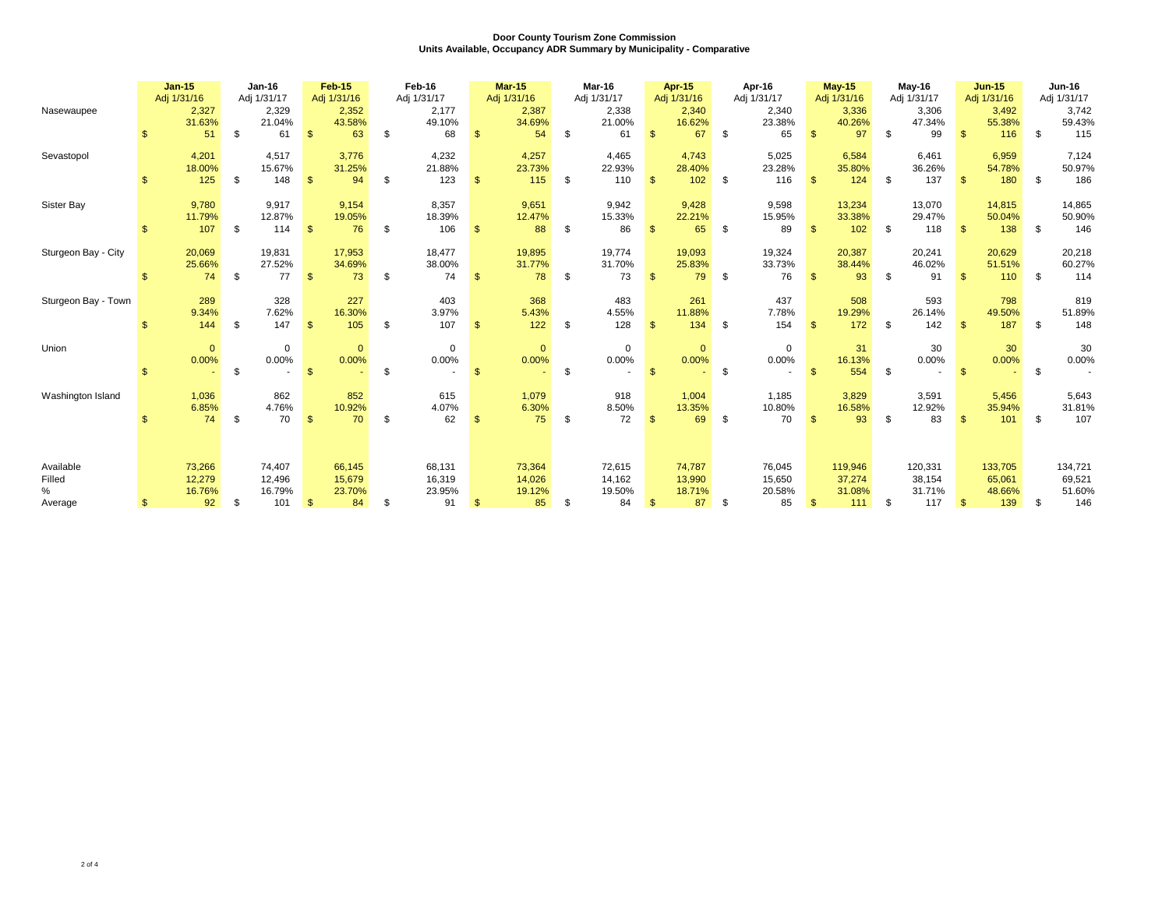|                        |              | $Jan-15$<br>Adj 1/31/16 | <b>Jan-16</b><br>Adj 1/31/17   |                | <b>Feb-15</b><br>Adj 1/31/16 |     | Feb-16<br>Adj 1/31/17  |                | <b>Mar-15</b><br>Adj 1/31/16 |    | Mar-16<br>Adj 1/31/17  |                         | Apr-15<br>Adj 1/31/16   |      | Apr-16<br>Adj 1/31/17  |     | <b>May-15</b><br>Adj 1/31/16 |    | <b>May-16</b><br>Adj 1/31/17 |               | $Jun-15$<br>Adj 1/31/16 |      | Jun-16<br>Adj 1/31/17   |
|------------------------|--------------|-------------------------|--------------------------------|----------------|------------------------------|-----|------------------------|----------------|------------------------------|----|------------------------|-------------------------|-------------------------|------|------------------------|-----|------------------------------|----|------------------------------|---------------|-------------------------|------|-------------------------|
| Nasewaupee             |              | 2,327<br>31.63%         | 2,329<br>21.04%                |                | 2,352<br>43.58%              |     | 2,177<br>49.10%        |                | 2,387<br>34.69%              |    | 2,338<br>21.00%        |                         | 2,340<br>16.62%         |      | 2,340<br>23.38%        |     | 3,336<br>40.26%              |    | 3,306<br>47.34%              |               | 3,492<br>55.38%         |      | 3,742<br>59.43%         |
|                        | \$           | 51                      | \$<br>61                       | $\mathbf{\$}$  | 63                           | \$  | 68                     | \$             | 54                           | \$ | 61                     | $\mathbf{\$}$           | 67                      | \$   | 65                     | \$  | 97                           | \$ | 99                           | $\mathbf{\$}$ | 116                     | \$   | 115                     |
| Sevastopol             |              | 4,201<br>18.00%         | 4,517<br>15.67%                |                | 3,776<br>31.25%              |     | 4,232<br>21.88%        |                | 4,257<br>23.73%              |    | 4,465<br>22.93%        |                         | 4,743<br>28.40%         |      | 5,025<br>23.28%        |     | 6,584<br>35.80%              |    | 6.461<br>36.26%              |               | 6,959<br>54.78%         |      | 7,124<br>50.97%         |
|                        | \$           | 125                     | \$<br>148                      | $\mathbb{S}$   | 94                           | \$  | 123                    | \$             | 115                          | \$ | 110                    | $\mathbf{\$}$           | 102                     | \$   | 116                    | \$  | 124                          | \$ | 137                          | \$            | 180                     | \$   | 186                     |
| Sister Bay             |              | 9,780<br>11.79%         | 9,917<br>12.87%                |                | 9,154<br>19.05%              |     | 8,357<br>18.39%        |                | 9,651<br>12.47%              |    | 9,942<br>15.33%        |                         | 9,428<br>22.21%         |      | 9,598<br>15.95%        |     | 13,234<br>33.38%             |    | 13,070<br>29.47%             |               | 14,815<br>50.04%        |      | 14,865<br>50.90%        |
|                        | \$           | 107                     | \$<br>114                      | $\mathfrak{s}$ | 76                           | -\$ | 106                    | \$             | 88                           | \$ | 86                     | $\mathbf{s}$            | 65                      | \$   | 89                     | \$. | 102                          | -S | 118                          | \$            | 138                     | -\$  | 146                     |
| Sturgeon Bay - City    |              | 20,069<br>25.66%        | 19,831<br>27.52%               |                | 17,953<br>34.69%             |     | 18,477<br>38.00%       |                | 19,895<br>31.77%             |    | 19,774<br>31.70%       |                         | 19,093<br>25.83%        |      | 19,324<br>33.73%       |     | 20,387<br>38.44%             |    | 20,241<br>46.02%             |               | 20,629<br>51.51%        |      | 20,218<br>60.27%        |
|                        | \$           | 74                      | \$<br>77                       | -\$            | 73                           | -\$ | 74                     | \$             | 78                           | \$ | 73                     | $\mathbf{\$}$           | 79                      | - \$ | 76                     | £.  | 93                           |    | 91                           | \$            | 110                     | - \$ | 114                     |
| Sturgeon Bay - Town    |              | 289<br>9.34%            | 328<br>7.62%                   |                | 227<br>16.30%                |     | 403<br>3.97%           |                | 368<br>5.43%                 |    | 483<br>4.55%           |                         | 261<br>11.88%           |      | 437<br>7.78%           |     | 508<br>19.29%                |    | 593<br>26.14%                |               | 798<br>49.50%           |      | 819<br>51.89%           |
|                        | $\mathbf{s}$ | 144                     | \$<br>147                      | $\mathbf{\$}$  | 105                          | \$  | 107                    | $\mathfrak{S}$ | 122                          | \$ | 128                    | $\mathbf{\mathfrak{L}}$ | 134                     | - \$ | 154                    | \$  | 172                          | \$ | 142                          | $\mathbf{\$}$ | 187                     | \$   | 148                     |
| Union                  |              | $\mathbf{0}$<br>0.00%   | $\mathbf 0$<br>0.00%           |                | $\mathbf{0}$<br>0.00%        |     | 0<br>0.00%             |                | $\mathbf{0}$<br>0.00%        |    | $\mathbf 0$<br>0.00%   |                         | $\overline{0}$<br>0.00% |      | $\mathbf 0$<br>0.00%   |     | 31<br>16.13%                 |    | 30<br>0.00%                  |               | 30<br>0.00%             |      | 30<br>0.00%             |
|                        | $\mathbf{s}$ |                         | \$<br>$\overline{\phantom{a}}$ | $\mathbf{\$}$  |                              | \$  |                        | $\mathbf{s}$   |                              | \$ |                        | $\mathbf{\$}$           |                         | \$   |                        | \$  | 554                          | \$ |                              | -\$           |                         | \$   |                         |
| Washington Island      |              | 1,036<br>6.85%          | 862<br>4.76%                   |                | 852<br>10.92%                |     | 615<br>4.07%           |                | 1,079<br>6.30%               |    | 918<br>8.50%           |                         | 1,004<br>13.35%         |      | 1,185<br>10.80%        |     | 3,829<br>16.58%              |    | 3,591<br>12.92%              |               | 5,456<br>35.94%         |      | 5,643<br>31.81%         |
|                        | \$.          | 74                      | \$<br>70                       | $\mathbf{s}$   | 70                           | \$  | 62                     | \$             | 75                           | S. | 72                     | $\mathbf{\$}$           | 69                      | - \$ | 70                     | \$  | 93                           | \$ | 83                           | $\mathcal{F}$ | 101                     | - \$ | 107                     |
| Available              |              | 73,266                  | 74,407                         |                | 66,145                       |     | 68,131                 |                | 73,364                       |    | 72,615                 |                         | 74,787                  |      | 76,045                 |     | 119,946                      |    | 120,331                      |               | 133,705                 |      | 134,721                 |
| Filled<br>%<br>Average | \$           | 12,279<br>16.76%<br>92  | \$<br>12,496<br>16.79%<br>101  | \$             | 15,679<br>23.70%<br>84       | \$  | 16,319<br>23.95%<br>91 | \$             | 14,026<br>19.12%<br>85       | \$ | 14,162<br>19.50%<br>84 | $\mathfrak{s}$          | 13,990<br>18.71%<br>87  | \$   | 15,650<br>20.58%<br>85 | \$  | 37,274<br>31.08%<br>111      | \$ | 38,154<br>31.71%<br>117      | \$            | 65,061<br>48.66%<br>139 | -\$  | 69,521<br>51.60%<br>146 |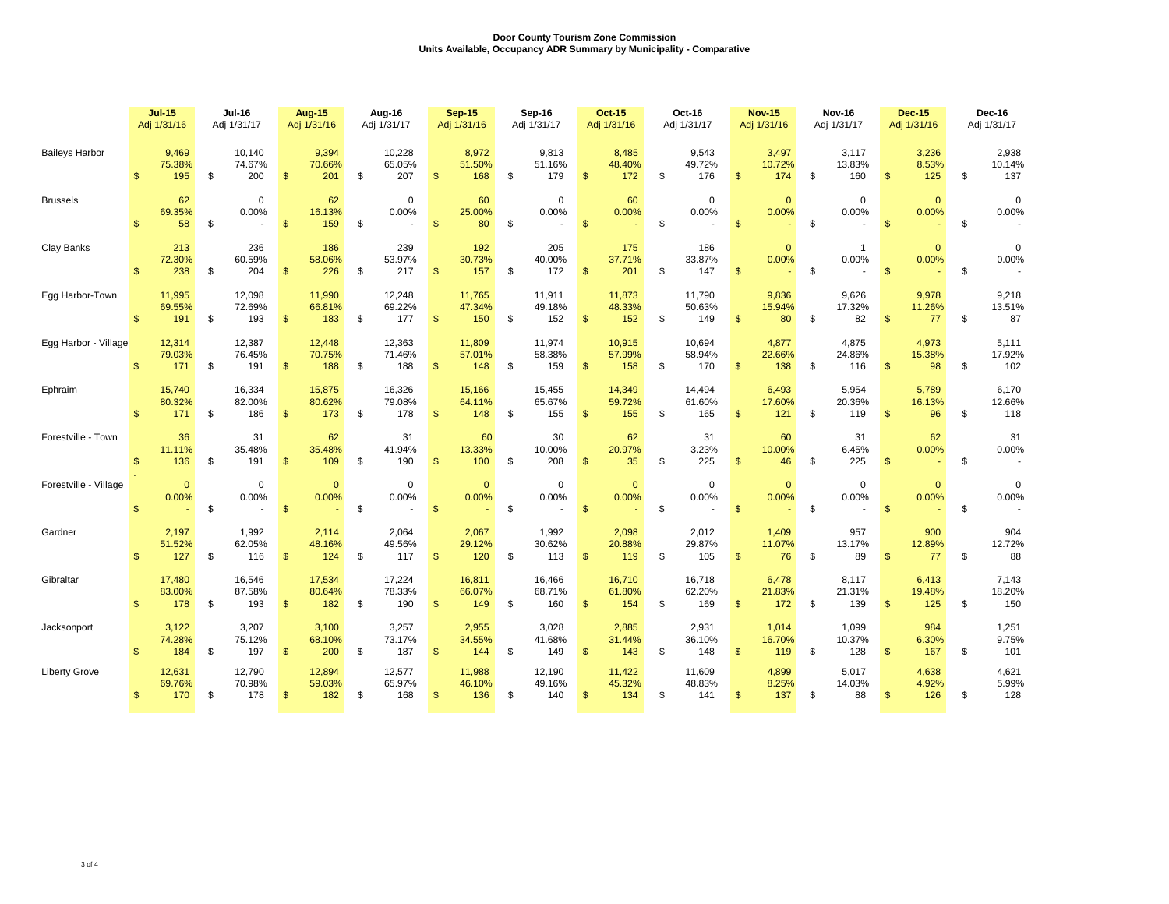|                       |                | <b>Jul-15</b><br><b>Jul-16</b><br>Adj 1/31/16<br>Adj 1/31/17 |    | <b>Aug-15</b><br>Adj 1/31/16 |                | Aug-16<br>Adj 1/31/17   |    | <b>Sep-15</b><br>Adj 1/31/16 |                | Sep-16<br>Adj 1/31/17   |     | <b>Oct-15</b><br>Adj 1/31/16 |                | Oct-16<br>Adj 1/31/17   |    | <b>Nov-15</b><br>Adj 1/31/16 |                |                         | <b>Nov-16</b><br>Adj 1/31/17 |                        | <b>Dec-15</b><br>Adj 1/31/16 | Dec-16<br>Adj 1/31/17   |    |                        |
|-----------------------|----------------|--------------------------------------------------------------|----|------------------------------|----------------|-------------------------|----|------------------------------|----------------|-------------------------|-----|------------------------------|----------------|-------------------------|----|------------------------------|----------------|-------------------------|------------------------------|------------------------|------------------------------|-------------------------|----|------------------------|
| <b>Baileys Harbor</b> | $\mathbf{\$}$  | 9,469<br>75.38%<br>195                                       | \$ | 10,140<br>74.67%<br>200      | \$             | 9,394<br>70.66%<br>201  | \$ | 10,228<br>65.05%<br>207      | $\mathfrak{s}$ | 8,972<br>51.50%<br>168  | \$  | 9,813<br>51.16%<br>179       | $\mathfrak{s}$ | 8,485<br>48.40%<br>172  | \$ | 9,543<br>49.72%<br>176       | $\mathfrak{s}$ | 3,497<br>10.72%<br>174  | \$                           | 3,117<br>13.83%<br>160 | $\mathfrak{s}$               | 3,236<br>8.53%<br>125   | \$ | 2,938<br>10.14%<br>137 |
| <b>Brussels</b>       | $\mathbb{S}$   | 62<br>69.35%<br>58                                           | \$ | $\mathbf 0$<br>0.00%         | \$             | 62<br>16.13%<br>159     | \$ | $\mathbf 0$<br>0.00%         | $\mathfrak{s}$ | 60<br>25.00%<br>80      | \$  | $\mathbf 0$<br>0.00%         | $\mathbb{S}$   | 60<br>0.00%             | \$ | $\mathbf 0$<br>0.00%         | $\mathbf{\$}$  | $\overline{0}$<br>0.00% | \$                           | 0<br>0.00%             | $\mathsf{\$}$                | $\overline{0}$<br>0.00% | \$ | $\mathbf 0$<br>0.00%   |
| Clay Banks            | $\mathbb{S}$   | 213<br>72.30%<br>238                                         | \$ | 236<br>60.59%<br>204         | $\mathbf{\$}$  | 186<br>58.06%<br>226    | \$ | 239<br>53.97%<br>217         | $\mathfrak{s}$ | 192<br>30.73%<br>157    | \$  | 205<br>40.00%<br>172         | \$             | 175<br>37.71%<br>201    | \$ | 186<br>33.87%<br>147         | $\mathbf{\$}$  | $\mathbf{0}$<br>0.00%   | \$                           | $\mathbf 1$<br>0.00%   | $\mathbf{\$}$                | $\overline{0}$<br>0.00% | \$ | $\mathbf 0$<br>0.00%   |
| Egg Harbor-Town       | $\mathbb{S}$   | 11,995<br>69.55%<br>191                                      | \$ | 12,098<br>72.69%<br>193      | \$             | 11,990<br>66.81%<br>183 | \$ | 12,248<br>69.22%<br>177      | $\mathbb{S}$   | 11,765<br>47.34%<br>150 | \$  | 11,911<br>49.18%<br>152      | $\mathbf{\$}$  | 11,873<br>48.33%<br>152 | \$ | 11,790<br>50.63%<br>149      | $\mathfrak{s}$ | 9,836<br>15.94%<br>80   | - \$                         | 9,626<br>17.32%<br>82  | $\mathbf{\$}$                | 9,978<br>11.26%<br>77   | \$ | 9,218<br>13.51%<br>87  |
| Egg Harbor - Village  | $\mathbb{S}$   | 12,314<br>79.03%<br>171                                      | \$ | 12,387<br>76.45%<br>191      | \$             | 12,448<br>70.75%<br>188 | \$ | 12,363<br>71.46%<br>188      | $\mathbb{S}$   | 11,809<br>57.01%<br>148 | \$  | 11,974<br>58.38%<br>159      | $\mathbf{\$}$  | 10,915<br>57.99%<br>158 | \$ | 10,694<br>58.94%<br>170      | $\mathfrak{s}$ | 4,877<br>22.66%<br>138  | \$                           | 4,875<br>24.86%<br>116 | $\mathfrak{s}$               | 4,973<br>15.38%<br>98   | \$ | 5,111<br>17.92%<br>102 |
| Ephraim               | $\mathbf{s}$   | 15.740<br>80.32%<br>171                                      | \$ | 16.334<br>82.00%<br>186      | <b>S</b>       | 15.875<br>80.62%<br>173 | \$ | 16.326<br>79.08%<br>178      | \$             | 15.166<br>64.11%<br>148 | \$  | 15.455<br>65.67%<br>155      | \$             | 14,349<br>59.72%<br>155 | \$ | 14.494<br>61.60%<br>165      | $\mathbb{S}$   | 6.493<br>17.60%<br>121  | \$                           | 5.954<br>20.36%<br>119 | \$                           | 5.789<br>16.13%<br>96   | \$ | 6,170<br>12.66%<br>118 |
| Forestville - Town    | $\mathsf{\$}$  | 36<br>11.11%<br>136                                          | \$ | 31<br>35.48%<br>191          | $\mathfrak{s}$ | 62<br>35.48%<br>109     | \$ | 31<br>41.94%<br>190          | $\mathfrak{s}$ | 60<br>13.33%<br>100     | \$  | 30<br>10.00%<br>208          | $\mathfrak{S}$ | 62<br>20.97%<br>35      | \$ | 31<br>3.23%<br>225           | $\mathfrak{s}$ | 60<br>10.00%<br>46      | \$                           | 31<br>6.45%<br>225     | $\mathbf{\$}$                | 62<br>0.00%             | \$ | 31<br>0.00%<br>$\sim$  |
| Forestville - Village | $\mathbf{s}$   | $\mathbf{0}$<br>0.00%                                        | \$ | $\mathbf 0$<br>0.00%         | $\mathbf{\$}$  | $\mathbf{0}$<br>0.00%   | \$ | $\mathbf 0$<br>0.00%         | \$             | $\mathbf{0}$<br>0.00%   | \$  | $\mathbf 0$<br>0.00%         | $\mathfrak{s}$ | $\mathbf{0}$<br>0.00%   | \$ | $\mathbf 0$<br>0.00%         | $\mathbb{S}$   | $\mathbf{0}$<br>0.00%   | \$                           | $\mathbf 0$<br>0.00%   | -\$                          | $\mathbf{0}$<br>0.00%   | \$ | 0<br>0.00%             |
| Gardner               | $\mathfrak{s}$ | 2,197<br>51.52%<br>127                                       | \$ | 1,992<br>62.05%<br>116       | $\mathfrak{s}$ | 2,114<br>48.16%<br>124  | \$ | 2,064<br>49.56%<br>117       | \$             | 2,067<br>29.12%<br>120  | \$  | 1,992<br>30.62%<br>113       | \$             | 2,098<br>20.88%<br>119  | \$ | 2,012<br>29.87%<br>105       | $\frac{3}{2}$  | 1,409<br>11.07%<br>76   | \$                           | 957<br>13.17%<br>89    | \$                           | 900<br>12.89%<br>77     | \$ | 904<br>12.72%<br>88    |
| Gibraltar             | \$             | 17,480<br>83.00%<br>178                                      | \$ | 16,546<br>87.58%<br>193      | \$             | 17,534<br>80.64%<br>182 | \$ | 17,224<br>78.33%<br>190      | \$.            | 16,811<br>66.07%<br>149 | \$  | 16,466<br>68.71%<br>160      | \$             | 16,710<br>61.80%<br>154 | \$ | 16,718<br>62.20%<br>169      | \$             | 6,478<br>21.83%<br>172  | \$                           | 8,117<br>21.31%<br>139 | \$.                          | 6,413<br>19.48%<br>125  | \$ | 7,143<br>18.20%<br>150 |
| Jacksonport           | $\mathcal{R}$  | 3,122<br>74.28%<br>184                                       | \$ | 3,207<br>75.12%<br>197       | \$             | 3,100<br>68.10%<br>200  | \$ | 3,257<br>73.17%<br>187       | $\mathfrak{s}$ | 2,955<br>34.55%<br>144  | -\$ | 3,028<br>41.68%<br>149       | \$             | 2,885<br>31.44%<br>143  | \$ | 2,931<br>36.10%<br>148       | $\mathsf{\$}$  | 1,014<br>16.70%<br>119  | \$                           | 1,099<br>10.37%<br>128 | \$                           | 984<br>6.30%<br>167     | \$ | 1,251<br>9.75%<br>101  |
| <b>Liberty Grove</b>  | $\mathsf{\$}$  | 12,631<br>69.76%<br>170                                      | \$ | 12,790<br>70.98%<br>178      | $\mathsf{\$}$  | 12,894<br>59.03%<br>182 | \$ | 12,577<br>65.97%<br>168      | $\mathfrak{s}$ | 11,988<br>46.10%<br>136 | \$  | 12,190<br>49.16%<br>140      | $\mathsf{\$}$  | 11,422<br>45.32%<br>134 | \$ | 11,609<br>48.83%<br>141      | $\mathsf{\$}$  | 4,899<br>8.25%<br>137   | \$                           | 5,017<br>14.03%<br>88  | $\mathbf{\$}$                | 4,638<br>4.92%<br>126   | \$ | 4,621<br>5.99%<br>128  |